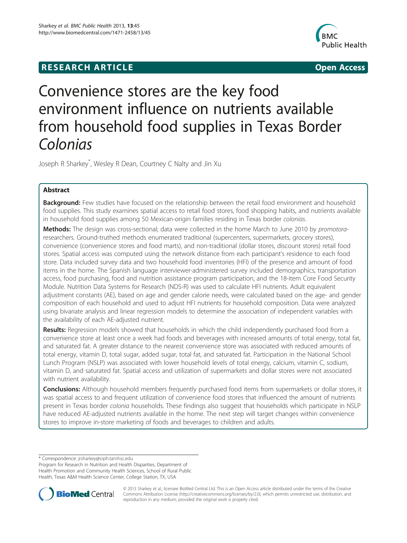# **RESEARCH ARTICLE Example 2008 CONSIDERING CONSIDERING CONSIDERING CONSIDERING CONSIDERING CONSIDERING CONSIDERING CONSIDERING CONSIDERING CONSIDERING CONSIDERING CONSIDERING CONSIDERING CONSIDERING CONSIDERING CONSIDE**



# Convenience stores are the key food environment influence on nutrients available from household food supplies in Texas Border Colonias

Joseph R Sharkey\* , Wesley R Dean, Courtney C Nalty and Jin Xu

# Abstract

**Background:** Few studies have focused on the relationship between the retail food environment and household food supplies. This study examines spatial access to retail food stores, food shopping habits, and nutrients available in household food supplies among 50 Mexican-origin families residing in Texas border colonias.

Methods: The design was cross-sectional; data were collected in the home March to June 2010 by promotoraresearchers. Ground-truthed methods enumerated traditional (supercenters, supermarkets, grocery stores), convenience (convenience stores and food marts), and non-traditional (dollar stores, discount stores) retail food stores. Spatial access was computed using the network distance from each participant's residence to each food store. Data included survey data and two household food inventories (HFI) of the presence and amount of food items in the home. The Spanish language interviewer-administered survey included demographics, transportation access, food purchasing, food and nutrition assistance program participation, and the 18-item Core Food Security Module. Nutrition Data Systems for Research (NDS-R) was used to calculate HFI nutrients. Adult equivalent adjustment constants (AE), based on age and gender calorie needs, were calculated based on the age- and gender composition of each household and used to adjust HFI nutrients for household composition. Data were analyzed using bivariate analysis and linear regression models to determine the association of independent variables with the availability of each AE-adjusted nutrient.

Results: Regression models showed that households in which the child independently purchased food from a convenience store at least once a week had foods and beverages with increased amounts of total energy, total fat, and saturated fat. A greater distance to the nearest convenience store was associated with reduced amounts of total energy, vitamin D, total sugar, added sugar, total fat, and saturated fat. Participation in the National School Lunch Program (NSLP) was associated with lower household levels of total energy, calcium, vitamin C, sodium, vitamin D, and saturated fat. Spatial access and utilization of supermarkets and dollar stores were not associated with nutrient availability.

Conclusions: Although household members frequently purchased food items from supermarkets or dollar stores, it was spatial access to and frequent utilization of convenience food stores that influenced the amount of nutrients present in Texas border colonia households. These findings also suggest that households which participate in NSLP have reduced AE-adjusted nutrients available in the home. The next step will target changes within convenience stores to improve in-store marketing of foods and beverages to children and adults.

\* Correspondence: [jrsharkey@srph.tamhsc.edu](mailto:jrsharkey@srph.tamhsc.edu)

Program for Research in Nutrition and Health Disparities, Department of Health Promotion and Community Health Sciences, School of Rural Public Health, Texas A&M Health Science Center, College Station, TX, USA



© 2013 Sharkey et al.; licensee BioMed Central Ltd. This is an Open Access article distributed under the terms of the Creative Commons Attribution License [\(http://creativecommons.org/licenses/by/2.0\)](http://creativecommons.org/licenses/by/2.0), which permits unrestricted use, distribution, and reproduction in any medium, provided the original work is properly cited.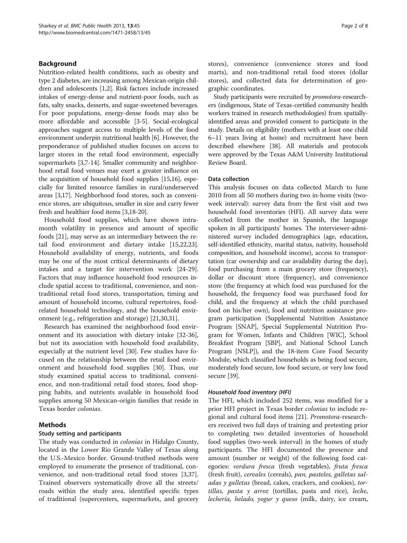# Background

Nutrition-related health conditions, such as obesity and type 2 diabetes, are increasing among Mexican-origin children and adolescents [\[1,2\]](#page-6-0). Risk factors include increased intakes of energy-dense and nutrient-poor foods, such as fats, salty snacks, desserts, and sugar-sweetened beverages. For poor populations, energy-dense foods may also be more affordable and accessible [[3](#page-6-0)-[5\]](#page-6-0). Social-ecological approaches suggest access to multiple levels of the food environment underpin nutritional health [\[6](#page-6-0)]. However, the preponderance of published studies focuses on access to larger stores in the retail food environment, especially supermarkets [\[3,7-14\]](#page-6-0). Smaller community and neighborhood retail food venues may exert a greater influence on the acquisition of household food supplies [\[15,16](#page-6-0)], especially for limited resource families in rural/underserved areas [[3,17](#page-6-0)]. Neighborhood food stores, such as convenience stores, are ubiquitous, smaller in size and carry fewer fresh and healthier food items [[3,](#page-6-0)[18-20\]](#page-7-0).

Household food supplies, which have shown intramonth volatility in presence and amount of specific foods [[21\]](#page-7-0), may serve as an intermediary between the retail food environment and dietary intake [\[15](#page-6-0)[,22,23](#page-7-0)]. Household availability of energy, nutrients, and foods may be one of the most critical determinants of dietary intakes and a target for intervention work [\[24-29](#page-7-0)]. Factors that may influence household food resources include spatial access to traditional, convenience, and nontraditional retail food stores, transportation, timing and amount of household income, cultural repertoires, foodrelated household technology, and the household environment (e.g., refrigeration and storage) [\[21,30,31\]](#page-7-0).

Research has examined the neighborhood food environment and its association with dietary intake [\[32-36](#page-7-0)], but not its association with household food availability, especially at the nutrient level [\[30](#page-7-0)]. Few studies have focused on the relationship between the retail food environment and household food supplies [\[30\]](#page-7-0). Thus, our study examined spatial access to traditional, convenience, and non-traditional retail food stores, food shopping habits, and nutrients available in household food supplies among 50 Mexican-origin families that reside in Texas border colonias.

# Methods

# Study setting and participants

The study was conducted in colonias in Hidalgo County, located in the Lower Rio Grande Valley of Texas along the U.S.-Mexico border. Ground-truthed methods were employed to enumerate the presence of traditional, convenience, and non-traditional retail food stores [\[3](#page-6-0)[,37](#page-7-0)]. Trained observers systematically drove all the streets/ roads within the study area, identified specific types of traditional (supercenters, supermarkets, and grocery

stores), convenience (convenience stores and food marts), and non-traditional retail food stores (dollar stores), and collected data for determination of geographic coordinates.

Study participants were recruited by promotora-researchers (indigenous, State of Texas-certified community health workers trained in research methodologies) from spatiallyidentified areas and provided consent to participate in the study. Details on eligibility (mothers with at least one child 6–11 years living at home) and recruitment have been described elsewhere [\[38\]](#page-7-0). All materials and protocols were approved by the Texas A&M University Institutional Review Board.

# Data collection

This analysis focuses on data collected March to June 2010 from all 50 mothers during two in-home visits (twoweek interval): survey data from the first visit and two household food inventories (HFI). All survey data were collected from the mother in Spanish, the language spoken in all participants' homes. The interviewer-administered survey included demographics (age, education, self-identified ethnicity, marital status, nativity, household composition, and household income), access to transportation (car ownership and car availability during the day), food purchasing from a main grocery store (frequency), dollar or discount store (frequency), and convenience store (the frequency at which food was purchased for the household, the frequency food was purchased food for child, and the frequency at which the child purchased food on his/her own), food and nutrition assistance program participation (Supplemental Nutrition Assistance Program [SNAP], Special Supplemental Nutrition Program for Women, Infants and Children [WIC], School Breakfast Program [SBP], and National School Lunch Program [NSLP]), and the 18-item Core Food Security Module, which classified households as being food secure, moderately food secure, low food secure, or very low food secure [\[39\]](#page-7-0).

# Household food inventory (HFI)

The HFI, which included 252 items, was modified for a prior HFI project in Texas border colonias to include regional and cultural food items [[21\]](#page-7-0). Promotora-researchers received two full days of training and pretesting prior to completing two detailed inventories of household food supplies (two-week interval) in the homes of study participants. The HFI documented the presence and amount (number or weight) of the following food categories: verdura fresca (fresh vegetables), fruta fresca (fresh fruit), cereales (cereals), pan, pasteles, galletas saladas y galletas (bread, cakes, crackers, and cookies), tortillas, pasta y arroz (tortillas, pasta and rice), leche, lechería, helado, yogur y queso (milk, dairy, ice cream,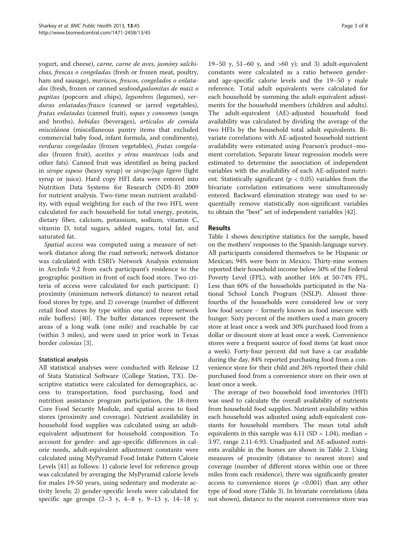yogurt, and cheese), carne, carne de aves, jamóny salchichas, frescas o congeladas (fresh or frozen meat, poultry, ham and sausage), mariscos, frescos, congelados o enlatados (fresh, frozen or canned seafood,palomitas de maiz o papitas (popcorn and chips), legumbres (legumes), verduras enlatadas/frasco (canned or jarred vegetables), frutas enlatadas (canned fruit), sopas y consomes (soups and broths), bebidas (beverages), artículos de comida miscelánea (miscellaneous pantry items that excluded commercial baby food, infant formula, and condiments), verduras congeladas (frozen vegetables), frutas congeladas (frozen fruit), aceites y otras mantecas (oils and other fats). Canned fruit was identified as being packed in sirope espeso (heavy syrup) or sirope/jugo ligero (light syrup or juice). Hard copy HFI data were entered into Nutrition Data Systems for Research (NDS-R) 2009 for nutrient analysis. Two-time mean nutrient availability, with equal weighting for each of the two HFI, were calculated for each household for total energy, protein, dietary fiber, calcium, potassium, sodium, vitamin C, vitamin D, total sugars, added sugars, total fat, and saturated fat.

Spatial access was computed using a measure of network distance along the road network; network distance was calculated with ESRI's Network Analysis extension in ArcInfo 9.2 from each participant's residence to the geographic position in front of each food store. Two criteria of access were calculated for each participant: 1) proximity (minimum network distance) to nearest retail food stores by type, and 2) coverage (number of different retail food stores by type within one and three network mile buffers) [[40](#page-7-0)]. The buffer distances represent the areas of a long walk (one mile) and reachable by car (within 3 miles), and were used in prior work in Texas border colonias [[3\]](#page-6-0).

# Statistical analysis

All statistical analyses were conducted with Release 12 of Stata Statistical Software (College Station, TX). Descriptive statistics were calculated for demographics, access to transportation, food purchasing, food and nutrition assistance program participation, the 18-item Core Food Security Module, and spatial access to food stores (proximity and coverage). Nutrient availability in household food supplies was calculated using an adultequivalent adjustment for household composition. To account for gender- and age-specific differences in calorie needs, adult-equivalent adjustment constants were calculated using MyPyramid Food Intake Pattern Calorie Levels [\[41\]](#page-7-0) as follows: 1) calorie level for reference group was calculated by averaging the MyPyramid calorie levels for males 19-50 years, using sedentary and moderate activity levels; 2) gender-specific levels were calculated for specific age groups (2–3 y, 4–8 y, 9–13 y, 14–18 y,

19–50 y, 51–60 y, and  $>60$  y); and 3) adult-equivalent constants were calculated as a ratio between genderand age-specific calorie levels and the 19–50 y male reference. Total adult equivalents were calculated for each household by summing the adult-equivalent adjustments for the household members (children and adults). The adult-equivalent (AE)-adjusted household food availability was calculated by dividing the average of the two HFIs by the household total adult equivalents. Bivariate correlations with AE-adjusted household nutrient availability were estimated using Pearson's product–moment correlation. Separate linear regression models were estimated to determine the association of independent variables with the availability of each AE-adjusted nutrient. Statistically significant ( $p < 0.05$ ) variables from the bivariate correlation estimations were simultaneously entered. Backward elimination strategy was used to sequentially remove statistically non-significant variables to obtain the "best" set of independent variables [[42](#page-7-0)].

# Results

Table [1](#page-3-0) shows descriptive statistics for the sample, based on the mothers' responses to the Spanish-language survey. All participants considered themselves to be Hispanic or Mexican; 94% were born in Mexico. Thirty-nine women reported their household income below 50% of the Federal Poverty Level (FPL), with another 16% at 50-74% FPL. Less than 60% of the households participated in the National School Lunch Program (NSLP). Almost threefourths of the households were considered low or very low food secure − formerly known as food insecure with hunger. Sixty percent of the mothers used a main grocery store at least once a week and 30% purchased food from a dollar or discount store at least once a week. Convenience stores were a frequent source of food items (at least once a week). Forty-four percent did not have a car available during the day, 84% reported purchasing food from a convenience store for their child and 26% reported their child purchased food from a convenience store on their own at least once a week.

The average of two household food inventories (HFI) was used to calculate the overall availability of nutrients from household food supplies. Nutrient availability within each household was adjusted using adult-equivalent constants for household members. The mean total adult equivalents in this sample was  $4.11$  (SD = 1.04), median = 3.97, range 2.11-6.93. Unadjusted and AE-adjusted nutrients available in the homes are shown in Table [2](#page-4-0). Using measures of proximity (distance to nearest store) and coverage (number of different stores within one or three miles from each residence), there was significantly greater access to convenience stores  $(p \text{ <0.001})$  than any other type of food store (Table [3\)](#page-4-0). In bivariate correlations (data not shown), distance to the nearest convenience store was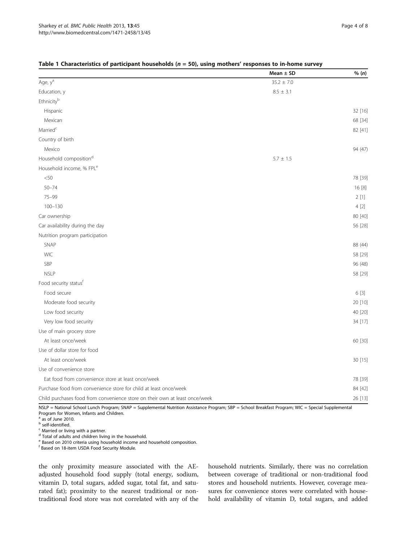|                                                                             | Mean $\pm$ SD  | % (n)   |
|-----------------------------------------------------------------------------|----------------|---------|
| Age, y <sup>a</sup>                                                         | $35.2 \pm 7.0$ |         |
| Education, y                                                                | $8.5 \pm 3.1$  |         |
| Ethnicityb                                                                  |                |         |
| Hispanic                                                                    |                | 32 [16] |
| Mexican                                                                     |                | 68 [34] |
| Married <sup>c</sup>                                                        |                | 82 [41] |
| Country of birth                                                            |                |         |
| Mexico                                                                      |                | 94 (47) |
| Household composition <sup>d</sup>                                          | $5.7 \pm 1.5$  |         |
| Household income, % FPL <sup>e</sup>                                        |                |         |
| < 50                                                                        |                | 78 [39] |
| $50 - 74$                                                                   |                | 16[8]   |
| $75 - 99$                                                                   |                | 2[1]    |
| $100 - 130$                                                                 |                | 4 [2]   |
| Car ownership                                                               |                | 80 [40] |
| Car availability during the day                                             |                | 56 [28] |
| Nutrition program participation                                             |                |         |
| SNAP                                                                        |                | 88 (44) |
| <b>WIC</b>                                                                  |                | 58 [29] |
| SBP                                                                         |                | 96 (48) |
| <b>NSLP</b>                                                                 |                | 58 [29] |
| Food security status <sup>t</sup>                                           |                |         |
| Food secure                                                                 |                | 6 [3]   |
| Moderate food security                                                      |                | 20 [10] |
| Low food security                                                           |                | 40 [20] |
| Very low food security                                                      |                | 34 [17] |
| Use of main grocery store                                                   |                |         |
| At least once/week                                                          |                | 60 [30] |
| Use of dollar store for food                                                |                |         |
| At least once/week                                                          |                | 30 [15] |
| Use of convenience store                                                    |                |         |
| Eat food from convenience store at least once/week                          |                | 78 [39] |
| Purchase food from convenience store for child at least once/week           |                | 84 [42] |
| Child purchases food from convenience store on their own at least once/week |                | 26 [13] |

#### <span id="page-3-0"></span>Table 1 Characteristics of participant households ( $n = 50$ ), using mothers' responses to in-home survey

NSLP = National School Lunch Program; SNAP = Supplemental Nutrition Assistance Program; SBP = School Breakfast Program; WIC = Special Supplemental Program for Women, Infants and Children.

as of June 2010.

**b** self-identified.

 $c$  Married or living with a partner.

<sup>d</sup> Total of adults and children living in the household.

<sup>e</sup> Based on 2010 criteria using household income and household composition.

<sup>f</sup> Based on 18-item USDA Food Security Module.

the only proximity measure associated with the AEadjusted household food supply (total energy, sodium, vitamin D, total sugars, added sugar, total fat, and saturated fat); proximity to the nearest traditional or nontraditional food store was not correlated with any of the household nutrients. Similarly, there was no correlation between coverage of traditional or non-traditional food stores and household nutrients. However, coverage measures for convenience stores were correlated with household availability of vitamin D, total sugars, and added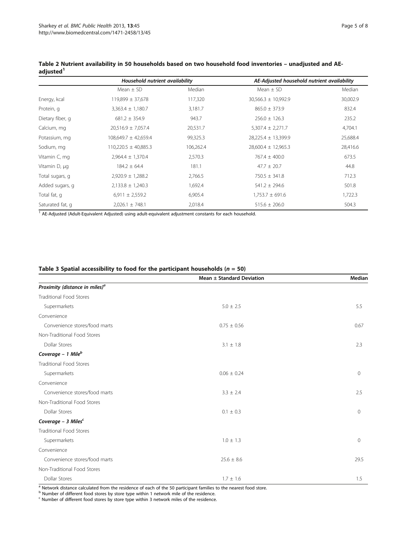|                  | Household nutrient availability |           | AE-Adjusted household nutrient availability |          |  |  |
|------------------|---------------------------------|-----------|---------------------------------------------|----------|--|--|
|                  | Mean $\pm$ SD                   | Median    | Mean $\pm$ SD                               | Median   |  |  |
| Energy, kcal     | $119,899 \pm 37,678$            | 117,320   | $30,566.3 \pm 10,992.9$                     | 30,002.9 |  |  |
| Protein, q       | $3,363.4 \pm 1,180.7$           | 3,181.7   | $865.0 \pm 373.9$                           | 832.4    |  |  |
| Dietary fiber, q | $681.2 \pm 354.9$               | 943.7     | $256.0 \pm 126.3$                           | 235.2    |  |  |
| Calcium, mg      | $20,516.9 \pm 7,057.4$          | 20,531.7  | $5,307.4 \pm 2,271.7$                       | 4,704.1  |  |  |
| Potassium, mg    | $108,649.7 \pm 42,659.4$        | 99,325.3  | $28,225.4 \pm 13,399.9$                     | 25,688.4 |  |  |
| Sodium, mg       | $110,220.5 \pm 40,885.3$        | 106,262.4 | $28,600.4 \pm 12,965.3$                     | 28,416.6 |  |  |
| Vitamin C, mg    | $2,964.4 \pm 1,370.4$           | 2,570.3   | $767.4 \pm 400.0$                           | 673.5    |  |  |
| Vitamin D, µg    | $184.2 \pm 64.4$                | 181.1     | $47.7 \pm 20.7$                             | 44.8     |  |  |
| Total sugars, g  | $2,920.9 \pm 1,288.2$           | 2,766.5   | $750.5 \pm 341.8$                           | 712.3    |  |  |
| Added sugars, g  | $2,133.8 \pm 1,240.3$           | 1,692.4   | $541.2 \pm 294.6$                           | 501.8    |  |  |
| Total fat, q     | $6,911 \pm 2,559.2$             | 6,905.4   | $1,753.7 \pm 691.6$                         | 1,722.3  |  |  |
| Saturated fat, q | $2,026.1 \pm 748.1$             | 2,018.4   | $515.6 \pm 206.0$                           | 504.3    |  |  |

<span id="page-4-0"></span>Table 2 Nutrient availability in 50 households based on two household food inventories – unadjusted and AEadjusted<sup>1</sup>

<sup>1</sup> AE-Adjusted (Adult-Equivalent Adjusted) using adult-equivalent adjustment constants for each household.

# Table 3 Spatial accessibility to food for the participant households ( $n = 50$ )

|                                            | Mean ± Standard Deviation | Median  |  |
|--------------------------------------------|---------------------------|---------|--|
| Proximity (distance in miles) <sup>a</sup> |                           |         |  |
| <b>Traditional Food Stores</b>             |                           |         |  |
| Supermarkets                               | $5.0 \pm 2.5$             | 5.5     |  |
| Convenience                                |                           |         |  |
| Convenience stores/food marts              | $0.75 \pm 0.56$           | 0.67    |  |
| Non-Traditional Food Stores                |                           |         |  |
| Dollar Stores                              | $3.1 \pm 1.8$             | 2.3     |  |
| Coverage - 1 Mile <sup>b</sup>             |                           |         |  |
| Traditional Food Stores                    |                           |         |  |
| Supermarkets                               | $0.06 \pm 0.24$           | $\circ$ |  |
| Convenience                                |                           |         |  |
| Convenience stores/food marts              | $3.3 \pm 2.4$             | 2.5     |  |
| Non-Traditional Food Stores                |                           |         |  |
| Dollar Stores                              | $0.1 \pm 0.3$             | 0       |  |
| Coverage $-$ 3 Miles <sup>c</sup>          |                           |         |  |
| Traditional Food Stores                    |                           |         |  |
| Supermarkets                               | $1.0 \pm 1.3$             | $\circ$ |  |
| Convenience                                |                           |         |  |
| Convenience stores/food marts              | $25.6 \pm 8.6$            | 29.5    |  |
| Non-Traditional Food Stores                |                           |         |  |
| Dollar Stores                              | $1.7 \pm 1.6$             | 1.5     |  |

<sup>a</sup> Network distance calculated from the residence of each of the 50 participant families to the nearest food store.

**b Number of different food stores by store type within 1 network mile of the residence.** 

<sup>c</sup> Number of different food stores by store type within 3 network miles of the residence.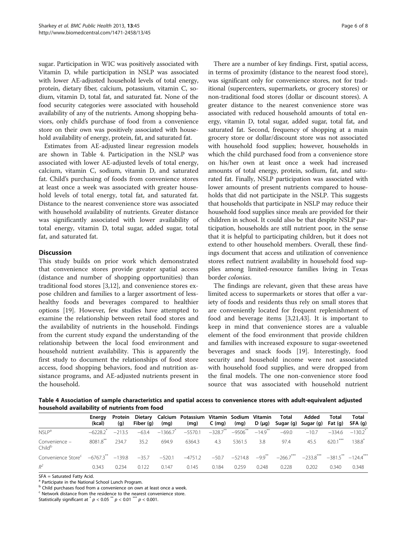sugar. Participation in WIC was positively associated with Vitamin D, while participation in NSLP was associated with lower AE-adjusted household levels of total energy, protein, dietary fiber, calcium, potassium, vitamin C, sodium, vitamin D, total fat, and saturated fat. None of the food security categories were associated with household availability of any of the nutrients. Among shopping behaviors, only child's purchase of food from a convenience store on their own was positively associated with household availability of energy, protein, fat, and saturated fat.

Estimates from AE-adjusted linear regression models are shown in Table 4. Participation in the NSLP was associated with lower AE-adjusted levels of total energy, calcium, vitamin C, sodium, vitamin D, and saturated fat. Child's purchasing of foods from convenience stores at least once a week was associated with greater household levels of total energy, total fat, and saturated fat. Distance to the nearest convenience store was associated with household availability of nutrients. Greater distance was significantly associated with lower availability of total energy, vitamin D, total sugar, added sugar, total fat, and saturated fat.

#### **Discussion**

This study builds on prior work which demonstrated that convenience stores provide greater spatial access (distance and number of shopping opportunities) than traditional food stores [[3,12\]](#page-6-0), and convenience stores expose children and families to a larger assortment of lesshealthy foods and beverages compared to healthier options [\[19](#page-7-0)]. However, few studies have attempted to examine the relationship between retail food stores and the availability of nutrients in the household. Findings from the current study expand the understanding of the relationship between the local food environment and household nutrient availability. This is apparently the first study to document the relationships of food store access, food shopping behaviors, food and nutrition assistance programs, and AE-adjusted nutrients present in the household.

There are a number of key findings. First, spatial access, in terms of proximity (distance to the nearest food store), was significant only for convenience stores, not for traditional (supercenters, supermarkets, or grocery stores) or non-traditional food stores (dollar or discount stores). A greater distance to the nearest convenience store was associated with reduced household amounts of total energy, vitamin D, total sugar, added sugar, total fat, and saturated fat. Second, frequency of shopping at a main grocery store or dollar/discount store was not associated with household food supplies; however, households in which the child purchased food from a convenience store on his/her own at least once a week had increased amounts of total energy, protein, sodium, fat, and saturated fat. Finally, NSLP participation was associated with lower amounts of present nutrients compared to households that did not participate in the NSLP. This suggests that households that participate in NSLP may reduce their household food supplies since meals are provided for their children in school. It could also be that despite NSLP participation, households are still nutrient poor, in the sense that it is helpful to participating children, but it does not extend to other household members. Overall, these findings document that access and utilization of convenience stores reflect nutrient availability in household food supplies among limited-resource families living in Texas border colonias.

The findings are relevant, given that these areas have limited access to supermarkets or stores that offer a variety of foods and residents thus rely on small stores that are conveniently located for frequent replenishment of food and beverage items [[3,](#page-6-0)[21,43\]](#page-7-0). It is important to keep in mind that convenience stores are a valuable element of the food environment that provide children and families with increased exposure to sugar-sweetened beverages and snack foods [\[19\]](#page-7-0). Interestingly, food security and household income were not associated with household food supplies, and were dropped from the final models. The one non-convenience store food source that was associated with household nutrient

Table 4 Association of sample characteristics and spatial access to convenience stores with adult-equivalent adjusted household availability of nutrients from food

|                                                                 | Enerav<br>(kcal)      | Protein<br>(q) | Fiber (q) | (mq)      | Dietary Calcium Potassium Vitamin Sodium Vitamin<br>(mq) | $C \text{ (mg)}$       | (mq)   | $D(\mu q)$                                  | Total       | Added<br>Sugar (g) Sugar (g)                                           | Total<br>Fat (g)      | Total<br>SFA (q)      |
|-----------------------------------------------------------------|-----------------------|----------------|-----------|-----------|----------------------------------------------------------|------------------------|--------|---------------------------------------------|-------------|------------------------------------------------------------------------|-----------------------|-----------------------|
| NSLP <sup>a</sup>                                               | $-62282$ <sup>*</sup> | $-2135$        | $-634$    | $-1366.7$ | $-5570.1$                                                | $-328.7$ <sup>**</sup> |        | $-9506$ <sup>**</sup> $-14.9$ <sup>**</sup> | $-69.0$     | $-10.7$                                                                | $-334.6$              | $-130.2$ <sup>2</sup> |
| Convenience -<br>Child <sup>b</sup>                             | 8081.8                | 234.7          | 35.2      | 694.9     | 6364.3                                                   | 4.3                    | 5361.5 | 3.8                                         | 97.4        | 45.5                                                                   | $620.1$ <sup>**</sup> | $138.8^{\circ}$       |
| Convenience Store <sup>c</sup> $-6767.3$ <sup>**</sup> $-139.8$ |                       |                | $-35.7$   | $-520.1$  | $-4751.2$                                                | $-50.7$                |        | $-5214.8$ $-9.9$ <sup>**</sup>              | $-266.7***$ | $-233.8$ <sup>***</sup> $-381.5$ <sup>**</sup> $-124.4$ <sup>***</sup> |                       |                       |
| $R^2$                                                           | 0.343                 | 0.234          | 0.122     | 0.147     | 0.145                                                    | 0.184                  | 0.259  | 0.248                                       | 0.228       | 0.202                                                                  | 0.340                 | 0.348                 |

SFA = Saturated Fatty Acid.

<sup>a</sup> Participate in the National School Lunch Program.

b Child purchases food from a convenience on own at least once a week.

<sup>c</sup> Network distance from the residence to the nearest convenience store.

Statistically significant at  $p < 0.05$  \*\*  $p < 0.01$  \*\*\*  $p < 0.001$ .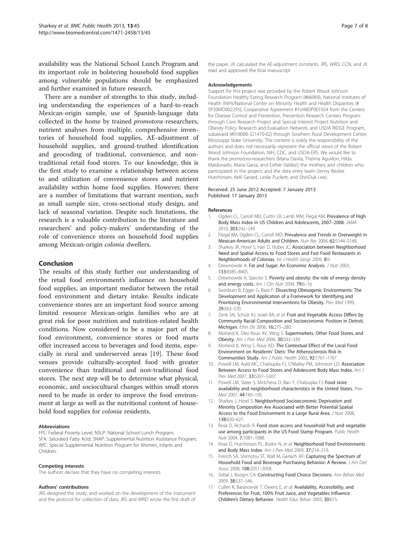<span id="page-6-0"></span>availability was the National School Lunch Program and its important role in bolstering household food supplies among vulnerable populations should be emphasized and further examined in future research.

There are a number of strengths to this study, including understanding the experiences of a hard-to-reach Mexican-origin sample, use of Spanish-language data collected in the home by trained promotora-researchers, nutrient analyses from multiple, comprehensive inventories of household food supplies, AE-adjustment of household supplies, and ground-truthed identification and geocoding of traditional, convenience, and nontraditional retail food stores. To our knowledge, this is the first study to examine a relationship between access to and utilization of convenience stores and nutrient availability within home food supplies. However, there are a number of limitations that warrant mention, such as small sample size, cross-sectional study design, and lack of seasonal variation. Despite such limitations, the research is a valuable contribution to the literature and researchers' and policy-makers' understanding of the role of convenience stores on household food supplies among Mexican-origin colonia dwellers.

#### Conclusion

The results of this study further our understanding of the retail food environment's influence on household food supplies, an important mediator between the retail food environment and dietary intake. Results indicate convenience stores are an important food source among limited resource Mexican-origin families who are at great risk for poor nutrition and nutrition-related health conditions. Now considered to be a major part of the food environment, convenience stores or food marts offer increased access to beverages and food items, especially in rural and underserved areas [\[19](#page-7-0)]. These food venues provide culturally-accepted food with greater convenience than traditional and non-traditional food stores. The next step will be to determine what physical, economic, and sociocultural changes within small stores need to be made in order to improve the food environment at large as well as the nutritional content of household food supplies for colonia residents.

#### Abbreviations

FPL: Federal Poverty Level; NSLP: National School Lunch Program; SFA: Saturated Fatty Acid; SNAP: Supplemental Nutrition Assistance Program; WIC: Special Supplemental Nutrition Program for Women, Infants and Children.

#### Competing interests

The authors declare that they have no competing interests.

#### Authors' contributions

JRS designed the study, and worked on the development of the instrument and the protocol for collection of data. JRS and WRD wrote the first draft of

the paper. JX calculated the AE-adjustment constants. JRS, WRD, CCN, and JX read and approved the final manuscript.

#### Acknowledgements

Support for this project was provided by the Robert Wood Johnson Foundation Healthy Eating Research Program (#66969), National Institutes of Health (NIH)/National Center on Minority Health and Health Disparities (# 5P20MD002295), Cooperative Agreement #1U48DP001924 from the Centers for Disease Control and Prevention, Prevention Research Centers Program through Core Research Project and Special Interest Project Nutrition and Obesity Policy Research and Evaluation Network, and USDA RIDGE Program, subaward (#018000-321470-02) through Southern Rural Development Center, Mississippi State University. The content is solely the responsibility of the authors and does not necessarily represent the official views of the Robert Wood Johnson Foundation, NIH, CDC, and USDA-ERS. We would like to thank the promotora-researchers (Maria Davila, Thelma Aguillon, Hilda Maldonado, Maria Garza, and Esther Valdez); the mothers and children who participated in the project; and the data entry team (Jenny Becker Hutchinson, Kelli Gerard, Leslie Puckett, and ShinDuk Lee).

#### Received: 25 June 2012 Accepted: 7 January 2013 Published: 17 January 2013

#### References

- Ogden CL, Carroll MD, Curtin LR, Lamb MM, Flegal KM: Prevalence of High Body Mass Index in US Children and Adolescents, 2007–2008. JAMA 2010, 303:242–249.
- 2. Flegal KM, Ogden CL, Carroll MD: Prevalence and Trends in Overweight in Mexican-American Adults and Children. Nutr Rev 2004, 62:S144–S148.
- 3. Sharkey JR, Horel S, Han D, Huber JC: Association between Neighborhood Need and Spatial Access to Food Stores and Fast Food Restaurants in Neighborhoods of Colonias. Int J Health Geogr 2009, 8:9.
- 4. Drewnowski A: Fat and Sugar: An Economic Analysis. J Nutr 2003, 133:838S–840S.
- 5. Drewnowski A, Specter S: Poverty and obesity: the role of energy density and energy costs. Am J Clin Nutr 2004, 79:6-16.
- 6. Swinburn B, Egger G, Raza F: Dissecting Obesogenic Environments: The Development and Application of a Framework for Identifying and Prioritizing Environmental Interventions for Obesity. Prev Med 1999, 29:563–570.
- 7. Zenk SN, Schulz AJ, Israel BA, et al: Fruit and Vegetable Access Differs by Community Racial Composition and Socioeconomic Position in Detroit, Michigan. Ethn Dis 2006, 16:275–280.
- 8. Morland K, Diez Roux AV, Wing S: Supermarkets, Other Food Stores, and Obesity. Am J Prev Med 2006, 30:333–339.
- 9. Morland K, Wing S, Roux AD: The Contextual Effect of the Local Food Environment on Residents' Diets: The Atherosclerosis Risk in Communities Study. Am J Public Health 2002, 92:1761–1767.
- 10. Powell LM, Auld MC, Chaloupka FJ, O'Malley PM, Johnston LD: Association Between Access to Food Stores and Adolescent Body Mass Index. Am J Prev Med 2007, 33:S301–S307.
- 11. Powell LM, Slater S, Mirtcheva D, Bao Y, Chaloupka FJ: Food store availability and neighborhood characteristics in the United States. Prev Med 2007, 44:189–195.
- 12. Sharkey J, Horel S: Neighborhood Socioeconomic Deprivation and Minority Composition Are Associated with Better Potential Spatial Access to the Food Environment in a Large Rural Area. J Nutr 2008, 138:620–627.
- 13. Rose D, Richards R: Food store access and household fruit and vegetable use among participants in the US Food Stamp Program. Public Health Nutr 2004, 7:1081–1088.
- 14. Rose D, Hutchinson PL, Bodor N, et al: Neighborhood Food Environments and Body Mass Index. Am J Prev Med 2009, 37:214–219.
- 15. French SA, Shimotsu ST, Wall M, Gerlach AF: Capturing the Spectrum of Household Food and Beverage Purchasing Behavior: A Review. J Am Diet Assoc 2008, 108:2051–2058.
- 16. Sobal J, Bisogni CA: Constructing Food Choice Decisions. Ann Behav Med 2009, 38:S37–S46.
- 17. Cullen K, Baranowski T, Owens E, et al: Availability, Accessibility, and Preferences for Fruit, 100% Fruit Juice, and Vegetables Influence Children's Dietary Behavior. Health Educ Behav 2003, 30:615.